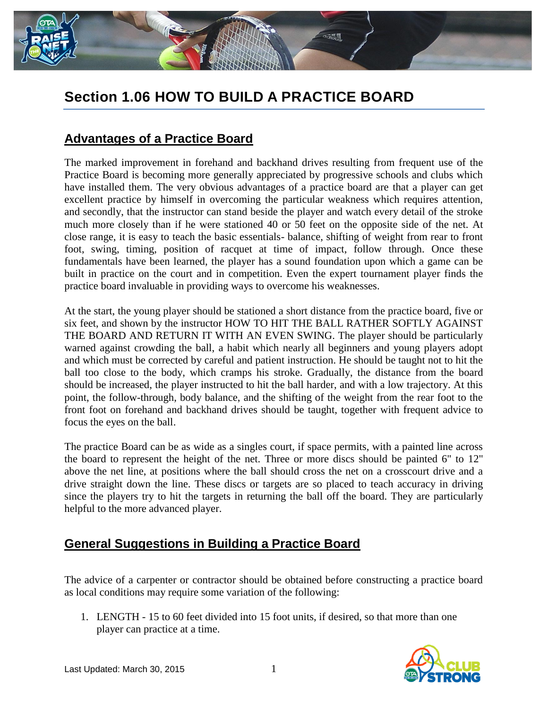

## **Section 1.06 HOW TO BUILD A PRACTICE BOARD**

## **Advantages of a Practice Board**

The marked improvement in forehand and backhand drives resulting from frequent use of the Practice Board is becoming more generally appreciated by progressive schools and clubs which have installed them. The very obvious advantages of a practice board are that a player can get excellent practice by himself in overcoming the particular weakness which requires attention, and secondly, that the instructor can stand beside the player and watch every detail of the stroke much more closely than if he were stationed 40 or 50 feet on the opposite side of the net. At close range, it is easy to teach the basic essentials- balance, shifting of weight from rear to front foot, swing, timing, position of racquet at time of impact, follow through. Once these fundamentals have been learned, the player has a sound foundation upon which a game can be built in practice on the court and in competition. Even the expert tournament player finds the practice board invaluable in providing ways to overcome his weaknesses.

At the start, the young player should be stationed a short distance from the practice board, five or six feet, and shown by the instructor HOW TO HIT THE BALL RATHER SOFTLY AGAINST THE BOARD AND RETURN IT WITH AN EVEN SWING. The player should be particularly warned against crowding the ball, a habit which nearly all beginners and young players adopt and which must be corrected by careful and patient instruction. He should be taught not to hit the ball too close to the body, which cramps his stroke. Gradually, the distance from the board should be increased, the player instructed to hit the ball harder, and with a low trajectory. At this point, the follow-through, body balance, and the shifting of the weight from the rear foot to the front foot on forehand and backhand drives should be taught, together with frequent advice to focus the eyes on the ball.

The practice Board can be as wide as a singles court, if space permits, with a painted line across the board to represent the height of the net. Three or more discs should be painted 6" to 12" above the net line, at positions where the ball should cross the net on a crosscourt drive and a drive straight down the line. These discs or targets are so placed to teach accuracy in driving since the players try to hit the targets in returning the ball off the board. They are particularly helpful to the more advanced player.

## **General Suggestions in Building a Practice Board**

The advice of a carpenter or contractor should be obtained before constructing a practice board as local conditions may require some variation of the following:

1. LENGTH - 15 to 60 feet divided into 15 foot units, if desired, so that more than one player can practice at a time.

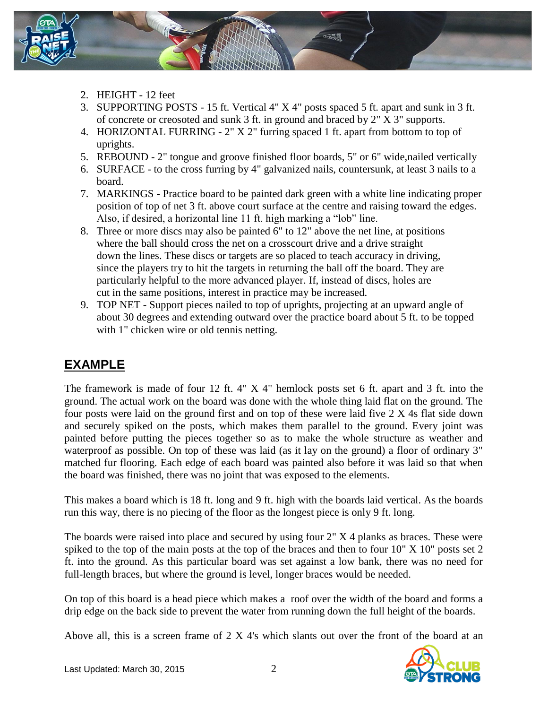

- 2. HEIGHT 12 feet
- 3. SUPPORTING POSTS 15 ft. Vertical 4" X 4" posts spaced 5 ft. apart and sunk in 3 ft. of concrete or creosoted and sunk 3 ft. in ground and braced by 2" X 3" supports.
- 4. HORIZONTAL FURRING 2" X 2" furring spaced 1 ft. apart from bottom to top of uprights.
- 5. REBOUND 2" tongue and groove finished floor boards, 5" or 6" wide,nailed vertically
- 6. SURFACE to the cross furring by 4" galvanized nails, countersunk, at least 3 nails to a board.
- 7. MARKINGS Practice board to be painted dark green with a white line indicating proper position of top of net 3 ft. above court surface at the centre and raising toward the edges. Also, if desired, a horizontal line 11 ft. high marking a "lob" line.
- 8. Three or more discs may also be painted 6" to 12" above the net line, at positions where the ball should cross the net on a crosscourt drive and a drive straight down the lines. These discs or targets are so placed to teach accuracy in driving, since the players try to hit the targets in returning the ball off the board. They are particularly helpful to the more advanced player. If, instead of discs, holes are cut in the same positions, interest in practice may be increased.
- 9. TOP NET Support pieces nailed to top of uprights, projecting at an upward angle of about 30 degrees and extending outward over the practice board about 5 ft. to be topped with 1" chicken wire or old tennis netting.

## **EXAMPLE**

The framework is made of four 12 ft. 4" X 4" hemlock posts set 6 ft. apart and 3 ft. into the ground. The actual work on the board was done with the whole thing laid flat on the ground. The four posts were laid on the ground first and on top of these were laid five 2 X 4s flat side down and securely spiked on the posts, which makes them parallel to the ground. Every joint was painted before putting the pieces together so as to make the whole structure as weather and waterproof as possible. On top of these was laid (as it lay on the ground) a floor of ordinary 3" matched fur flooring. Each edge of each board was painted also before it was laid so that when the board was finished, there was no joint that was exposed to the elements.

This makes a board which is 18 ft. long and 9 ft. high with the boards laid vertical. As the boards run this way, there is no piecing of the floor as the longest piece is only 9 ft. long.

The boards were raised into place and secured by using four 2" X 4 planks as braces. These were spiked to the top of the main posts at the top of the braces and then to four 10" X 10" posts set 2 ft. into the ground. As this particular board was set against a low bank, there was no need for full-length braces, but where the ground is level, longer braces would be needed.

On top of this board is a head piece which makes a roof over the width of the board and forms a drip edge on the back side to prevent the water from running down the full height of the boards.

Above all, this is a screen frame of 2 X 4's which slants out over the front of the board at an